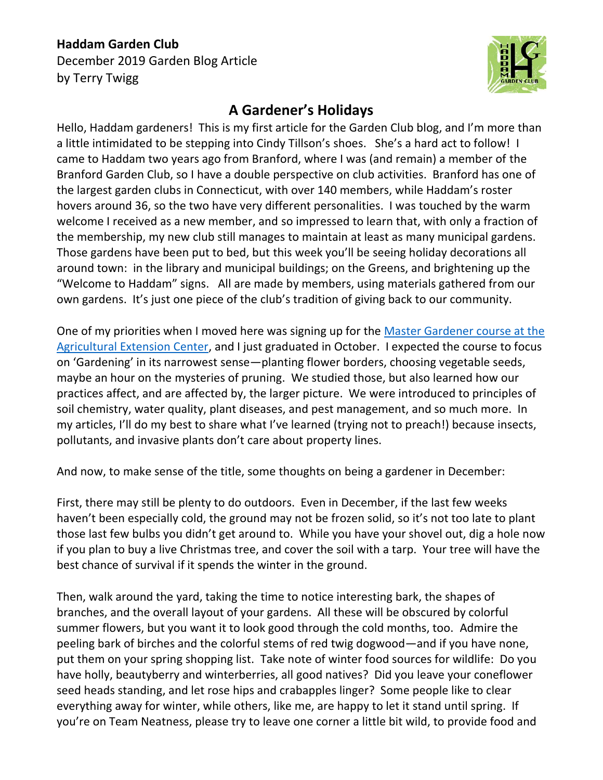## **Haddam Garden Club**

December 2019 Garden Blog Article by Terry Twigg



## **A Gardener's Holidays**

Hello, Haddam gardeners! This is my first article for the Garden Club blog, and I'm more than a little intimidated to be stepping into Cindy Tillson's shoes. She's a hard act to follow! I came to Haddam two years ago from Branford, where I was (and remain) a member of the Branford Garden Club, so I have a double perspective on club activities. Branford has one of the largest garden clubs in Connecticut, with over 140 members, while Haddam's roster hovers around 36, so the two have very different personalities. I was touched by the warm welcome I received as a new member, and so impressed to learn that, with only a fraction of the membership, my new club still manages to maintain at least as many municipal gardens. Those gardens have been put to bed, but this week you'll be seeing holiday decorations all around town: in the library and municipal buildings; on the Greens, and brightening up the "Welcome to Haddam" signs. All are made by members, using materials gathered from our own gardens. It's just one piece of the club's tradition of giving back to our community.

One of my priorities when I moved here was signing up for the [Master Gardener course at the](https://mastergardener.uconn.edu/)  [Agricultural Extension Center,](https://mastergardener.uconn.edu/) and I just graduated in October. I expected the course to focus on 'Gardening' in its narrowest sense—planting flower borders, choosing vegetable seeds, maybe an hour on the mysteries of pruning. We studied those, but also learned how our practices affect, and are affected by, the larger picture. We were introduced to principles of soil chemistry, water quality, plant diseases, and pest management, and so much more. In my articles, I'll do my best to share what I've learned (trying not to preach!) because insects, pollutants, and invasive plants don't care about property lines.

And now, to make sense of the title, some thoughts on being a gardener in December:

First, there may still be plenty to do outdoors. Even in December, if the last few weeks haven't been especially cold, the ground may not be frozen solid, so it's not too late to plant those last few bulbs you didn't get around to. While you have your shovel out, dig a hole now if you plan to buy a live Christmas tree, and cover the soil with a tarp. Your tree will have the best chance of survival if it spends the winter in the ground.

Then, walk around the yard, taking the time to notice interesting bark, the shapes of branches, and the overall layout of your gardens. All these will be obscured by colorful summer flowers, but you want it to look good through the cold months, too. Admire the peeling bark of birches and the colorful stems of red twig dogwood—and if you have none, put them on your spring shopping list. Take note of winter food sources for wildlife: Do you have holly, beautyberry and winterberries, all good natives? Did you leave your coneflower seed heads standing, and let rose hips and crabapples linger? Some people like to clear everything away for winter, while others, like me, are happy to let it stand until spring. If you're on Team Neatness, please try to leave one corner a little bit wild, to provide food and